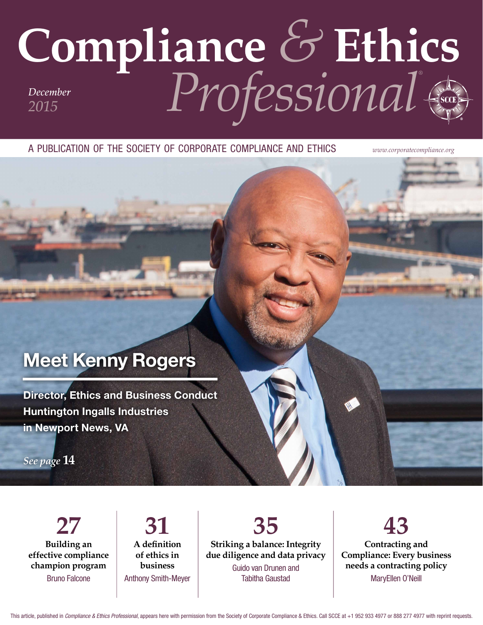# Compliance & Ethics

A PUBLICATION OF THE SOCIETY OF CORPORATE COMPLIANCE AND ETHICS

www.corporatecompliance.org

## **Meet Kenny Rogers**

**Director, Ethics and Business Conduct Huntington Ingalls Industries** in Newport News, VA

See page 14

 $27$ **Building an** effective compliance champion program **Bruno Falcone** 

31 A definition of ethics in business **Anthony Smith-Meyer** 

35 Striking a balance: Integrity due diligence and data privacy Guido van Drunen and **Tabitha Gaustad** 

43 Contracting and **Compliance: Every business** needs a contracting policy MarvEllen O'Neill

This article, published in Compliance & Ethics Professional, appears here with permission from the Society of Corporate Compliance & Ethics. Call SCCE at +1 952 933 4977 or 888 277 4977 with reprint requests.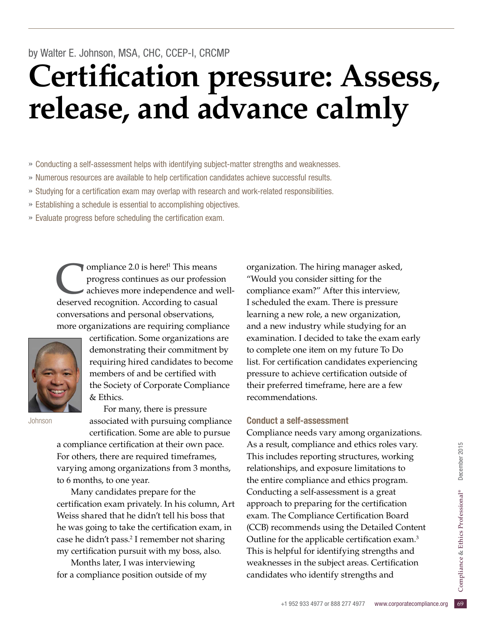# by Walter E. Johnson, MSA, CHC, CCEP-I, CRCMP **Certification pressure: Assess, release, and advance calmly**

- » Conducting a self-assessment helps with identifying subject-matter strengths and weaknesses.
- » Numerous resources are available to help certifcation candidates achieve successful results.
- » Studying for a certifcation exam may overlap with research and work-related responsibilities.
- » Establishing a schedule is essential to accomplishing objectives.
- » Evaluate progress before scheduling the certifcation exam.

compliance 2.0 is here!<sup>1</sup> This means<br>progress continues as our profession achieves more independence and v progress continues as our profession achieves more independence and welldeserved recognition. According to casual conversations and personal observations, more organizations are requiring compliance



certification. Some organizations are demonstrating their commitment by requiring hired candidates to become members of and be certifed with the Society of Corporate Compliance & Ethics.

Johnson

For many, there is pressure associated with pursuing compliance certifcation. Some are able to pursue a compliance certification at their own pace.

For others, there are required timeframes, varying among organizations from 3 months, to 6 months, to one year.

Many candidates prepare for the certifcation exam privately. In his column, Art Weiss shared that he didn't tell his boss that he was going to take the certification exam, in case he didn't pass.<sup>2</sup> I remember not sharing my certification pursuit with my boss, also.

Months later, I was interviewing for a compliance position outside of my organization. The hiring manager asked, "Would you consider sitting for the compliance exam?" After this interview, I scheduled the exam. There is pressure learning a new role, a new organization, and a new industry while studying for an examination. I decided to take the exam early to complete one item on my future To Do list. For certification candidates experiencing pressure to achieve certification outside of their preferred timeframe, here are a few recommendations.

### Conduct a self-assessment

14, compliance and ethics roles vary.<br>
udes reporting structures, working<br>
hips, and exposure limitations to<br>
e compliance and ethics program.<br>
ing a self-assessment is a great<br>
1 to preparing for the certification<br>
e Comp Compliance needs vary among organizations. As a result, compliance and ethics roles vary. This includes reporting structures, working relationships, and exposure limitations to the entire compliance and ethics program. Conducting a self-assessment is a great approach to preparing for the certification exam. The Compliance Certification Board (CCB) recommends using the Detailed Content Outline for the applicable certification exam.<sup>3</sup> This is helpful for identifying strengths and weaknesses in the subject areas. Certification candidates who identify strengths and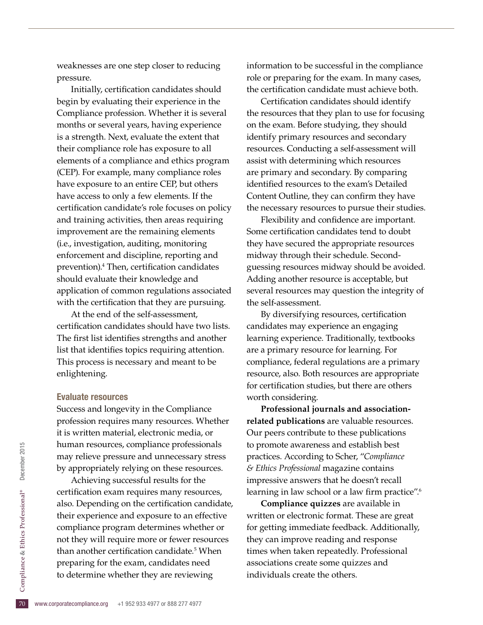weaknesses are one step closer to reducing pressure.

Initially, certifcation candidates should begin by evaluating their experience in the Compliance profession. Whether it is several months or several years, having experience is a strength. Next, evaluate the extent that their compliance role has exposure to all elements of a compliance and ethics program (CEP). For example, many compliance roles have exposure to an entire CEP, but others have access to only a few elements. If the certification candidate's role focuses on policy and training activities, then areas requiring improvement are the remaining elements (i.e., investigation, auditing, monitoring enforcement and discipline, reporting and prevention).4 Then, certifcation candidates should evaluate their knowledge and application of common regulations associated with the certification that they are pursuing.

At the end of the self-assessment, certifcation candidates should have two lists. The first list identifies strengths and another list that identifes topics requiring attention. This process is necessary and meant to be enlightening.

### Evaluate resources

Success and longevity in the Compliance profession requires many resources. Whether it is written material, electronic media, or human resources, compliance professionals may relieve pressure and unnecessary stress by appropriately relying on these resources.

preparing for the exam, candidates need<br>to determine whether they are reviewing<br> $\frac{5}{20}$  www.corporatecompliance.org +1 952 933 4977 or 888 277 4977 Achieving successful results for the certification exam requires many resources, also. Depending on the certification candidate, their experience and exposure to an effective compliance program determines whether or not they will require more or fewer resources than another certification candidate.<sup>5</sup> When to determine whether they are reviewing

information to be successful in the compliance role or preparing for the exam. In many cases, the certifcation candidate must achieve both.

Certifcation candidates should identify the resources that they plan to use for focusing on the exam. Before studying, they should identify primary resources and secondary resources. Conducting a self-assessment will assist with determining which resources are primary and secondary. By comparing identifed resources to the exam's Detailed Content Outline, they can confirm they have the necessary resources to pursue their studies.

Flexibility and confidence are important. Some certification candidates tend to doubt they have secured the appropriate resources midway through their schedule. Secondguessing resources midway should be avoided. Adding another resource is acceptable, but several resources may question the integrity of the self-assessment.

By diversifying resources, certification candidates may experience an engaging learning experience. Traditionally, textbooks are a primary resource for learning. For compliance, federal regulations are a primary resource, also. Both resources are appropriate for certification studies, but there are others worth considering.

**Professional journals and associationrelated publications** are valuable resources. Our peers contribute to these publications to promote awareness and establish best practices. According to Scher, "*Compliance & Ethics Professional* magazine contains impressive answers that he doesn't recall learning in law school or a law firm practice".<sup>6</sup>

**Compliance quizzes** are available in written or electronic format. These are great for getting immediate feedback. Additionally, they can improve reading and response times when taken repeatedly. Professional associations create some quizzes and individuals create the others.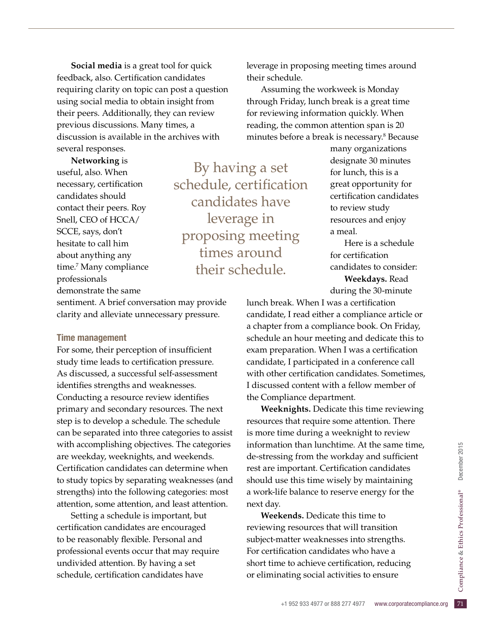**Social media** is a great tool for quick feedback, also. Certification candidates requiring clarity on topic can post a question using social media to obtain insight from their peers. Additionally, they can review previous discussions. Many times, a discussion is available in the archives with several responses.

**Networking** is useful, also. When necessary, certification candidates should contact their peers. Roy Snell, CEO of HCCA/ SCCE, says, don't hesitate to call him about anything any time.<sup>7</sup> Many compliance professionals demonstrate the same

By having a set schedule, certification candidates have leverage in proposing meeting times around their schedule.

sentiment. A brief conversation may provide clarity and alleviate unnecessary pressure.

### Time management

For some, their perception of insufficient study time leads to certification pressure. As discussed, a successful self-assessment identifies strengths and weaknesses. Conducting a resource review identifes primary and secondary resources. The next step is to develop a schedule. The schedule can be separated into three categories to assist with accomplishing objectives. The categories are weekday, weeknights, and weekends. Certifcation candidates can determine when to study topics by separating weaknesses (and strengths) into the following categories: most attention, some attention, and least attention.

Setting a schedule is important, but certifcation candidates are encouraged to be reasonably flexible. Personal and professional events occur that may require undivided attention. By having a set schedule, certifcation candidates have

leverage in proposing meeting times around their schedule.

Assuming the workweek is Monday through Friday, lunch break is a great time for reviewing information quickly. When reading, the common attention span is 20 minutes before a break is necessary.8 Because

> many organizations designate 30 minutes for lunch, this is a great opportunity for certifcation candidates to review study resources and enjoy a meal.

Here is a schedule for certifcation candidates to consider: **Weekdays.** Read during the 30-minute

lunch break. When I was a certification candidate, I read either a compliance article or a chapter from a compliance book. On Friday, schedule an hour meeting and dedicate this to exam preparation. When I was a certification candidate, I participated in a conference call with other certification candidates. Sometimes, I discussed content with a fellow member of the Compliance department.

**Weeknights.** Dedicate this time reviewing resources that require some attention. There is more time during a weeknight to review information than lunchtime. At the same time, de-stressing from the workday and sufficient rest are important. Certification candidates should use this time wisely by maintaining a work-life balance to reserve energy for the next day.

short time to achieve certification, reducing<br>or eliminating social activities to ensure<br> $+1$  952 933 4977 or 888 277 4977 www.corporatecompliance.org 71 **Weekends.** Dedicate this time to reviewing resources that will transition subject-matter weaknesses into strengths. For certification candidates who have a or eliminating social activities to ensure